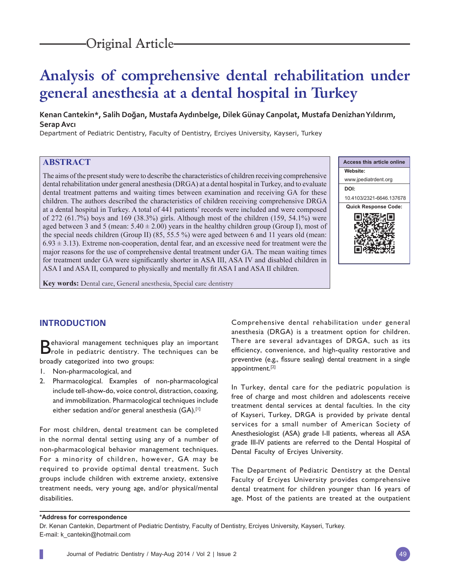# **Analysis of comprehensive dental rehabilitation under general anesthesia at a dental hospital in Turkey**

**Kenan Cantekin\*, Salih Doğan, Mustafa Aydınbelge, Dilek Günay Canpolat, Mustafa Denizhan Yıldırım, Serap Avcı**

Department of Pediatric Dentistry, Faculty of Dentistry, Erciyes University, Kayseri, Turkey

# **ABSTRACT**

The aims of the present study were to describe the characteristics of children receiving comprehensive dental rehabilitation under general anesthesia (DRGA) at a dental hospital in Turkey, and to evaluate dental treatment patterns and waiting times between examination and receiving GA for these children. The authors described the characteristics of children receiving comprehensive DRGA at a dental hospital in Turkey. A total of 441 patients' records were included and were composed of 272 (61.7%) boys and 169 (38.3%) girls. Although most of the children (159, 54.1%) were aged between 3 and 5 (mean:  $5.40 \pm 2.00$ ) years in the healthy children group (Group I), most of the special needs children (Group II) (85, 55.5 %) were aged between 6 and 11 years old (mean:  $6.93 \pm 3.13$ ). Extreme non-cooperation, dental fear, and an excessive need for treatment were the major reasons for the use of comprehensive dental treatment under GA. The mean waiting times for treatment under GA were significantly shorter in ASA III, ASA IV and disabled children in ASA I and ASA II, compared to physically and mentally fit ASA I and ASA II children.



**Key words:** Dental care, General anesthesia, Special care dentistry

# **INTRODUCTION**

Behavioral management techniques play an important Brole in pediatric dentistry. The techniques can be broadly categorized into two groups:

- 1. Non-pharmacological, and
- 2. Pharmacological. Examples of non-pharmacological include tell-show-do, voice control, distraction, coaxing, and immobilization. Pharmacological techniques include either sedation and/or general anesthesia (GA).<sup>[1]</sup>

For most children, dental treatment can be completed in the normal dental setting using any of a number of non-pharmacological behavior management techniques. For a minority of children, however, GA may be required to provide optimal dental treatment. Such groups include children with extreme anxiety, extensive treatment needs, very young age, and/or physical/mental disabilities.

Comprehensive dental rehabilitation under general anesthesia (DRGA) is a treatment option for children. There are several advantages of DRGA, such as its efficiency, convenience, and high-quality restorative and preventive (e.g., fissure sealing) dental treatment in a single appointment.[2]

In Turkey, dental care for the pediatric population is free of charge and most children and adolescents receive treatment dental services at dental faculties. In the city of Kayseri, Turkey, DRGA is provided by private dental services for a small number of American Society of Anesthesiologist (ASA) grade I-II patients, whereas all ASA grade III-IV patients are referred to the Dental Hospital of Dental Faculty of Erciyes University.

The Department of Pediatric Dentistry at the Dental Faculty of Erciyes University provides comprehensive dental treatment for children younger than 16 years of age. Most of the patients are treated at the outpatient

#### **\*Address for correspondence**

Dr. Kenan Cantekin, Department of Pediatric Dentistry, Faculty of Dentistry, Erciyes University, Kayseri, Turkey. E-mail: k\_cantekin@hotmail.com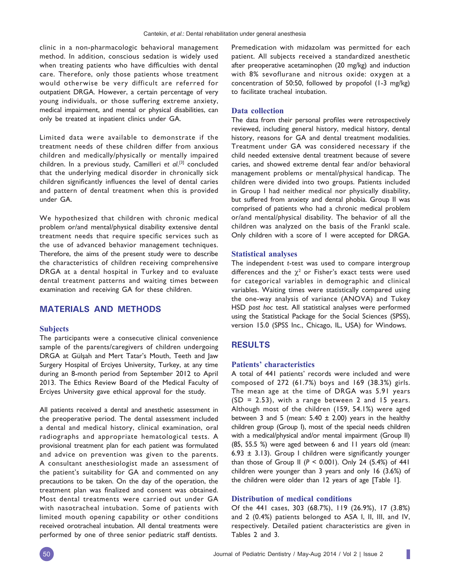clinic in a non-pharmacologic behavioral management method. In addition, conscious sedation is widely used when treating patients who have difficulties with dental care. Therefore, only those patients whose treatment would otherwise be very difficult are referred for outpatient DRGA. However, a certain percentage of very young individuals, or those suffering extreme anxiety, medical impairment, and mental or physical disabilities, can only be treated at inpatient clinics under GA.

Limited data were available to demonstrate if the treatment needs of these children differ from anxious children and medically/physically or mentally impaired children. In a previous study, Camilleri *et al*. [3] concluded that the underlying medical disorder in chronically sick children significantly influences the level of dental caries and pattern of dental treatment when this is provided under GA.

We hypothesized that children with chronic medical problem or/and mental/physical disability extensive dental treatment needs that require specific services such as the use of advanced behavior management techniques. Therefore, the aims of the present study were to describe the characteristics of children receiving comprehensive DRGA at a dental hospital in Turkey and to evaluate dental treatment patterns and waiting times between examination and receiving GA for these children.

# **MATERIALS AND METHODS**

#### **Subjects**

The participants were a consecutive clinical convenience sample of the parents/caregivers of children undergoing DRGA at Gülşah and Mert Tatar's Mouth, Teeth and Jaw Surgery Hospital of Erciyes University, Turkey, at any time during an 8-month period from September 2012 to April 2013. The Ethics Review Board of the Medical Faculty of Erciyes University gave ethical approval for the study.

All patients received a dental and anesthetic assessment in the preoperative period. The dental assessment included a dental and medical history, clinical examination, oral radiographs and appropriate hematological tests. A provisional treatment plan for each patient was formulated and advice on prevention was given to the parents. A consultant anesthesiologist made an assessment of the patient's suitability for GA and commented on any precautions to be taken. On the day of the operation, the treatment plan was finalized and consent was obtained. Most dental treatments were carried out under GA with nasotracheal intubation. Some of patients with limited mouth opening capability or other conditions received orotracheal intubation. All dental treatments were performed by one of three senior pediatric staff dentists.

Premedication with midazolam was permitted for each patient. All subjects received a standardized anesthetic after preoperative acetaminophen (20 mg/kg) and induction with 8% sevoflurane and nitrous oxide: oxygen at a concentration of 50:50, followed by propofol (1-3 mg/kg) to facilitate tracheal intubation.

#### **Data collection**

The data from their personal profiles were retrospectively reviewed, including general history, medical history, dental history, reasons for GA and dental treatment modalities. Treatment under GA was considered necessary if the child needed extensive dental treatment because of severe caries, and showed extreme dental fear and/or behavioral management problems or mental/physical handicap. The children were divided into two groups. Patients included in Group I had neither medical nor physically disability, but suffered from anxiety and dental phobia. Group II was comprised of patients who had a chronic medical problem or/and mental/physical disability. The behavior of all the children was analyzed on the basis of the Frankl scale. Only children with a score of 1 were accepted for DRGA.

#### **Statistical analyses**

The independent *t*-test was used to compare intergroup differences and the  $\chi^2$  or Fisher's exact tests were used for categorical variables in demographic and clinical variables. Waiting times were statistically compared using the one-way analysis of variance (ANOVA) and Tukey HSD *post hoc* test. All statistical analyses were performed using the Statistical Package for the Social Sciences (SPSS), version 15.0 (SPSS Inc., Chicago, IL, USA) for Windows.

# **RESULTS**

#### **Patients' characteristics**

A total of 441 patients' records were included and were composed of 272 (61.7%) boys and 169 (38.3%) girls. The mean age at the time of DRGA was 5.91 years  $(SD = 2.53)$ , with a range between 2 and 15 years. Although most of the children (159, 54.1%) were aged between 3 and 5 (mean:  $5.40 \pm 2.00$ ) years in the healthy children group (Group I), most of the special needs children with a medical/physical and/or mental impairment (Group II) (85, 55.5 %) were aged between 6 and 11 years old (mean: 6.93  $\pm$  3.13). Group I children were significantly younger than those of Group II (*P <* 0.001). Only 24 (5.4%) of 441 children were younger than 3 years and only 16 (3.6%) of the children were older than 12 years of age [Table 1].

# **Distribution of medical conditions**

Of the 441 cases, 303 (68.7%), 119 (26.9%), 17 (3.8%) and 2 (0.4%) patients belonged to ASA I, II, III, and IV, respectively. Detailed patient characteristics are given in Tables 2 and 3.

I.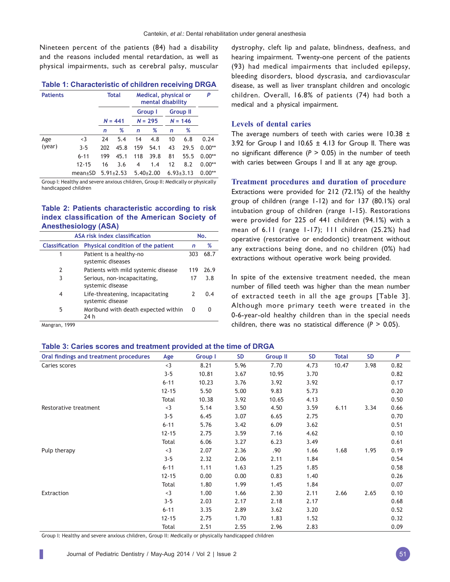Nineteen percent of the patients (84) had a disability and the reasons included mental retardation, as well as physical impairments, such as cerebral palsy, muscular

| <b>Table 1: Characteristic of children receiving DRGA</b> |  |  |  |
|-----------------------------------------------------------|--|--|--|
|-----------------------------------------------------------|--|--|--|

| <b>Patients</b> |               |     | Total           | Medical, physical or<br>mental disability |                 |    | P               |          |
|-----------------|---------------|-----|-----------------|-------------------------------------------|-----------------|----|-----------------|----------|
|                 |               |     |                 |                                           | Group I         |    | <b>Group II</b> |          |
|                 |               |     | $N = 441$       |                                           | $N = 295$       |    | $N = 146$       |          |
|                 |               | n   | %               | n                                         | %               | n  | %               |          |
| Age             | $<$ 3         | 24  | 5.4             | 14                                        | 4.8             | 10 | 6.8             | 0.24     |
| (year)          | $3 - 5$       | 202 | 45.8            | 159                                       | 54.1            | 43 | 29.5            | $0.00**$ |
|                 | $6 - 11$      | 199 | 45.1            | 118                                       | 39.8            | 81 | 55.5            | $0.00**$ |
|                 | $12 - 15$     | 16  | 3.6             | 4                                         | 1.4             | 12 | 8.2             | $0.00**$ |
|                 | $mean \pm SD$ |     | $5.91 \pm 2.53$ |                                           | $5.40 \pm 2.00$ |    | $6.93 \pm 3.13$ | $0.00**$ |

Group I: Healthy and severe anxious children, Group II: Medically or physically handicapped children

# **Table 2: Patients characteristic according to risk**  index classification of the American Society of **Anesthesiology (ASA)**

| ASA risk index classification |                                                      |               | No.  |  |  |
|-------------------------------|------------------------------------------------------|---------------|------|--|--|
| <b>Classification</b>         | Physical condition of the patient                    | n             | %    |  |  |
| 1                             | Patient is a healthy-no<br>systemic diseases         | 303           | 68.7 |  |  |
| 2                             | Patients with mild systemic disease                  | 119           | 26.9 |  |  |
| 3                             | Serious, non-incapacitating,<br>systemic disease     | 17            | 3.8  |  |  |
| 4                             | Life-threatening, incapacitating<br>systemic disease | $\mathcal{P}$ | በ 4  |  |  |
| 5                             | Moribund with death expected within<br>24 h          | 0             |      |  |  |

Mangran, 1999

dystrophy, cleft lip and palate, blindness, deafness, and hearing impairment. Twenty-one percent of the patients (93) had medical impairments that included epilepsy, bleeding disorders, blood dyscrasia, and cardiovascular disease, as well as liver transplant children and oncologic children. Overall, 16.8% of patients (74) had both a medical and a physical impairment.

#### **Levels of dental caries**

The average numbers of teeth with caries were  $10.38 \pm$ 3.92 for Group I and  $10.65 \pm 4.13$  for Group II. There was no significant difference  $(P > 0.05)$  in the number of teeth with caries between Groups I and II at any age group.

#### **Treatment procedures and duration of procedure**

Extractions were provided for 212 (72.1%) of the healthy group of children (range 1-12) and for 137 (80.1%) oral intubation group of children (range 1-15). Restorations were provided for 225 of 441 children (94.1%) with a mean of 6.11 (range 1-17); 111 children (25.2%) had operative (restorative or endodontic) treatment without any extractions being done, and no children (0%) had extractions without operative work being provided.

In spite of the extensive treatment needed, the mean number of filled teeth was higher than the mean number of extracted teeth in all the age groups [Table 3]. Although more primary teeth were treated in the 0-6-year-old healthy children than in the special needs children, there was no statistical difference (*P* > 0.05).

# **Table 3: Caries scores and treatment provided at the time of DRGA**

| Oral findings and treatment procedures | Age       | <b>Group I</b> | <b>SD</b> | <b>Group II</b> | <b>SD</b> | <b>Total</b> | <b>SD</b> | P    |
|----------------------------------------|-----------|----------------|-----------|-----------------|-----------|--------------|-----------|------|
| Caries scores                          | $3$       | 8.21           | 5.96      | 7.70            | 4.73      | 10.47        | 3.98      | 0.82 |
|                                        | $3 - 5$   | 10.81          | 3.67      | 10.95           | 3.70      |              |           | 0.82 |
|                                        | $6 - 11$  | 10.23          | 3.76      | 3.92            | 3.92      |              |           | 0.17 |
|                                        | $12 - 15$ | 5.50           | 5.00      | 9.83            | 5.73      |              |           | 0.20 |
|                                        | Total     | 10.38          | 3.92      | 10.65           | 4.13      |              |           | 0.50 |
| Restorative treatment                  | $<$ 3     | 5.14           | 3.50      | 4.50            | 3.59      | 6.11         | 3.34      | 0.66 |
|                                        | $3 - 5$   | 6.45           | 3.07      | 6.65            | 2.75      |              |           | 0.70 |
|                                        | $6 - 11$  | 5.76           | 3.42      | 6.09            | 3.62      |              |           | 0.51 |
|                                        | $12 - 15$ | 2.75           | 3.59      | 7.16            | 4.62      |              |           | 0.10 |
|                                        | Total     | 6.06           | 3.27      | 6.23            | 3.49      |              |           | 0.61 |
| Pulp therapy                           | $3$       | 2.07           | 2.36      | .90             | 1.66      | 1.68         | 1.95      | 0.19 |
|                                        | $3 - 5$   | 2.32           | 2.06      | 2.11            | 1.84      |              |           | 0.54 |
|                                        | $6 - 11$  | 1.11           | 1.63      | 1.25            | 1.85      |              |           | 0.58 |
|                                        | $12 - 15$ | 0.00           | 0.00      | 0.83            | 1.40      |              |           | 0.26 |
|                                        | Total     | 1.80           | 1.99      | 1.45            | 1.84      |              |           | 0.07 |
| Extraction                             | $<$ 3     | 1.00           | 1.66      | 2.30            | 2.11      | 2.66         | 2.65      | 0.10 |
|                                        | $3 - 5$   | 2.03           | 2.17      | 2.18            | 2.17      |              |           | 0.68 |
|                                        | $6 - 11$  | 3.35           | 2.89      | 3.62            | 3.20      |              |           | 0.52 |
|                                        | $12 - 15$ | 2.75           | 1.70      | 1.83            | 1.52      |              |           | 0.32 |
|                                        | Total     | 2.51           | 2.55      | 2.96            | 2.83      |              |           | 0.09 |

Group I: Healthy and severe anxious children, Group II: Medically or physically handicapped children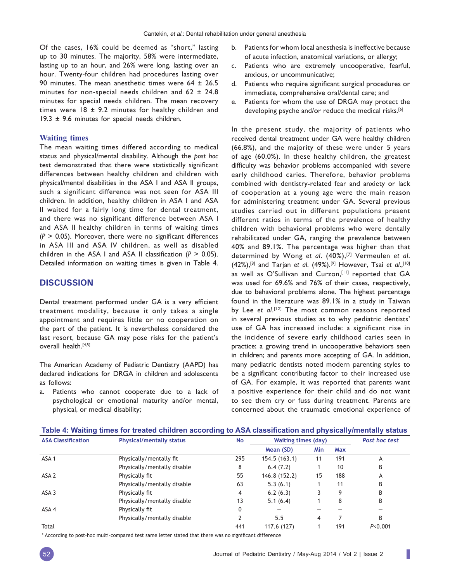Of the cases, 16% could be deemed as "short," lasting up to 30 minutes. The majority, 58% were intermediate, lasting up to an hour, and 26% were long, lasting over an hour. Twenty-four children had procedures lasting over 90 minutes. The mean anesthetic times were 64 ± 26.5 minutes for non-special needs children and 62 ± 24.8 minutes for special needs children. The mean recovery times were  $18 \pm 9.2$  minutes for healthy children and 19.3  $\pm$  9.6 minutes for special needs children.

#### **Waiting times**

The mean waiting times differed according to medical status and physical/mental disability. Although the *post hoc* test demonstrated that there were statistically significant differences between healthy children and children with physical/mental disabilities in the ASA I and ASA II groups, such a significant difference was not seen for ASA III children. In addition, healthy children in ASA I and ASA II waited for a fairly long time for dental treatment, and there was no significant difference between ASA I and ASA II healthy children in terms of waiting times  $(P > 0.05)$ . Moreover, there were no significant differences in ASA III and ASA IV children, as well as disabled children in the ASA I and ASA II classification  $(P > 0.05)$ . Detailed information on waiting times is given in Table 4.

## **DISCUSSION**

Dental treatment performed under GA is a very efficient treatment modality, because it only takes a single appointment and requires little or no cooperation on the part of the patient. It is nevertheless considered the last resort, because GA may pose risks for the patient's overall health.[4,5]

The American Academy of Pediatric Dentistry (AAPD) has declared indications for DRGA in children and adolescents as follows:

a. Patients who cannot cooperate due to a lack of psychological or emotional maturity and/or mental, physical, or medical disability;

- b. Patients for whom local anesthesia is ineffective because of acute infection, anatomical variations, or allergy;
- c. Patients who are extremely uncooperative, fearful, anxious, or uncommunicative;
- d. Patients who require significant surgical procedures or immediate, comprehensive oral/dental care; and
- e. Patients for whom the use of DRGA may protect the developing psyche and/or reduce the medical risks.<sup>[6]</sup>

In the present study, the majority of patients who received dental treatment under GA were healthy children (66.8%), and the majority of these were under 5 years of age (60.0%). In these healthy children, the greatest difficulty was behavior problems accompanied with severe early childhood caries. Therefore, behavior problems combined with dentistry-related fear and anxiety or lack of cooperation at a young age were the main reason for administering treatment under GA. Several previous studies carried out in different populations present different ratios in terms of the prevalence of healthy children with behavioral problems who were dentally rehabilitated under GA, ranging the prevalence between 40% and 89.1%. The percentage was higher than that determined by Wong *et al*. (40%),[7] Vermeulen *et al*. (42%),[8] and Tarjan *et al*. (49%).[9] However, Tsai *et al*.,[10] as well as O'Sullivan and Curzon, [11] reported that GA was used for 69.6% and 76% of their cases, respectively, due to behavioral problems alone. The highest percentage found in the literature was 89.1% in a study in Taiwan by Lee et al.<sup>[12]</sup> The most common reasons reported in several previous studies as to why pediatric dentists' use of GA has increased include: a significant rise in the incidence of severe early childhood caries seen in practice; a growing trend in uncooperative behaviors seen in children; and parents more accepting of GA. In addition, many pediatric dentists noted modern parenting styles to be a significant contributing factor to their increased use of GA. For example, it was reported that parents want a positive experience for their child and do not want to see them cry or fuss during treatment. Parents are concerned about the traumatic emotional experience of

| <b>ASA Classification</b> | <b>Physical/mentally status</b> | <b>No</b> | <b>Waiting times (day)</b> |            |     | Post hoc test |
|---------------------------|---------------------------------|-----------|----------------------------|------------|-----|---------------|
|                           |                                 |           | Mean (SD)                  | <b>Min</b> | Max |               |
| ASA <sub>1</sub>          | Physically/mentally fit         | 295       | 154.5 (163.1)              | 11         | 191 | A             |
|                           | Physically/mentally disable     | 8         | 6.4(7.2)                   |            | 10  | B             |
| ASA <sub>2</sub>          | Physically fit                  | 55        | 146.8 (152.2)              | 15         | 188 | Α             |
|                           | Physically/mentally disable     | 63        | 5.3(6.1)                   |            | 11  | B             |
| ASA 3                     | Physically fit                  | 4         | 6.2(6.3)                   |            | 9   | B             |
|                           | Physically/mentally disable     | 13        | 5.1(6.4)                   |            | 8   | B             |
| ASA 4                     | Physically fit                  | 0         |                            |            |     |               |
|                           | Physically/mentally disable     | 2         | 5.5                        | 4          |     | B             |
| Total                     |                                 | 441       | 117.6 (127)                |            | 191 | P < 0.001     |

**Table 4: Waiting times for treated children according to ASA classifi cation and physically/mentally status**

\* According to post-hoc multi-compared test same letter stated that there was no significant difference

ı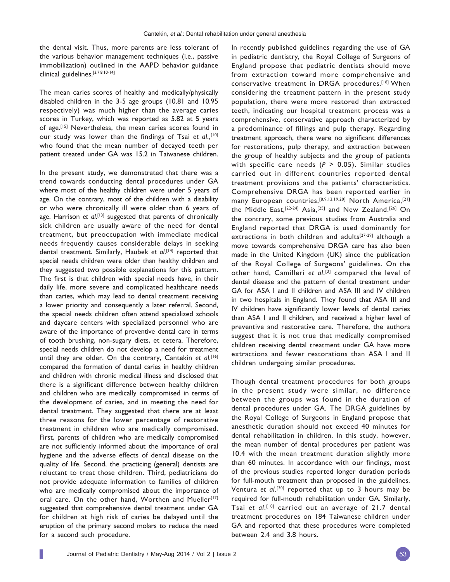the dental visit. Thus, more parents are less tolerant of the various behavior management techniques (i.e., passive immobilization) outlined in the AAPD behavior guidance clinical guidelines.[3,7,8,10-14]

The mean caries scores of healthy and medically/physically disabled children in the 3-5 age groups (10.81 and 10.95 respectively) was much higher than the average caries scores in Turkey, which was reported as 5.82 at 5 years of age.[15] Nevertheless, the mean caries scores found in our study was lower than the findings of Tsai et al., [10] who found that the mean number of decayed teeth per patient treated under GA was 15.2 in Taiwanese children.

In the present study, we demonstrated that there was a trend towards conducting dental procedures under GA where most of the healthy children were under 5 years of age. On the contrary, most of the children with a disability or who were chronically ill were older than 6 years of age. Harrison et al.<sup>[13]</sup> suggested that parents of chronically sick children are usually aware of the need for dental treatment, but preoccupation with immediate medical needs frequently causes considerable delays in seeking dental treatment. Similarly, Haubek *et al*. [14] reported that special needs children were older than healthy children and they suggested two possible explanations for this pattern. The first is that children with special needs have, in their daily life, more severe and complicated healthcare needs than caries, which may lead to dental treatment receiving a lower priority and consequently a later referral. Second, the special needs children often attend specialized schools and daycare centers with specialized personnel who are aware of the importance of preventive dental care in terms of tooth brushing, non-sugary diets, et cetera. Therefore, special needs children do not develop a need for treatment until they are older. On the contrary, Cantekin *et al*. [16] compared the formation of dental caries in healthy children and children with chronic medical illness and disclosed that there is a significant difference between healthy children and children who are medically compromised in terms of the development of caries, and in meeting the need for dental treatment. They suggested that there are at least three reasons for the lower percentage of restorative treatment in children who are medically compromised. First, parents of children who are medically compromised are not sufficiently informed about the importance of oral hygiene and the adverse effects of dental disease on the quality of life. Second, the practicing (general) dentists are reluctant to treat those children. Third, pediatricians do not provide adequate information to families of children who are medically compromised about the importance of oral care. On the other hand, Worthen and Mueller<sup>[17]</sup> suggested that comprehensive dental treatment under GA for children at high risk of caries be delayed until the eruption of the primary second molars to reduce the need for a second such procedure.

In recently published guidelines regarding the use of GA in pediatric dentistry, the Royal College of Surgeons of England propose that pediatric dentists should move from extraction toward more comprehensive and conservative treatment in DRGA procedures.[18] When considering the treatment pattern in the present study population, there were more restored than extracted teeth, indicating our hospital treatment process was a comprehensive, conservative approach characterized by a predominance of fillings and pulp therapy. Regarding treatment approach, there were no significant differences for restorations, pulp therapy, and extraction between the group of healthy subjects and the group of patients with specific care needs (*P* > 0.05). Similar studies carried out in different countries reported dental treatment provisions and the patients' characteristics. Comprehensive DRGA has been reported earlier in many European countries, [8,9,13,19,20] North America, [21] the Middle East,[22-24] Asia,[25] and New Zealand.[26] On the contrary, some previous studies from Australia and England reported that DRGA is used dominantly for extractions in both children and adults<sup>[27-29]</sup> although a move towards comprehensive DRGA care has also been made in the United Kingdom (UK) since the publication of the Royal College of Surgeons' guidelines. On the other hand, Camilleri *et al*. [3] compared the level of dental disease and the pattern of dental treatment under GA for ASA I and II children and ASA III and IV children in two hospitals in England. They found that ASA III and IV children have significantly lower levels of dental caries than ASA I and II children, and received a higher level of preventive and restorative care. Therefore, the authors suggest that it is not true that medically compromised children receiving dental treatment under GA have more extractions and fewer restorations than ASA I and II children undergoing similar procedures.

Though dental treatment procedures for both groups in the present study were similar, no difference between the groups was found in the duration of dental procedures under GA. The DRGA guidelines by the Royal College of Surgeons in England propose that anesthetic duration should not exceed 40 minutes for dental rehabilitation in children. In this study, however, the mean number of dental procedures per patient was 10.4 with the mean treatment duration slightly more than 60 minutes. In accordance with our findings, most of the previous studies reported longer duration periods for full-mouth treatment than proposed in the guidelines. Ventura *et al*. [30] reported that up to 3 hours may be required for full-mouth rehabilitation under GA. Similarly, Tsai *et al*. [10] carried out an average of 21.7 dental treatment procedures on 184 Taiwanese children under GA and reported that these procedures were completed between 2.4 and 3.8 hours.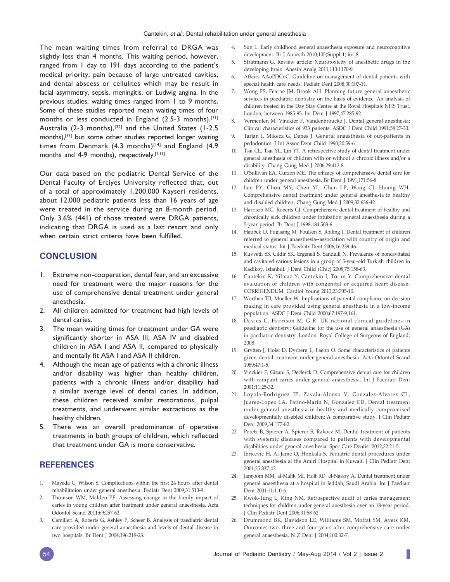The mean waiting times from referral to DRGA was slightly less than 4 months. This waiting period, however, ranged from 1 day to 191 days according to the patient's medical priority, pain because of large untreated cavities, and dental abscess or cellulites which may be result in facial asymmetry, sepsis, meningitis, or Ludwig angina. In the previous studies, waiting times ranged from 1 to 9 months. Some of these studies reported mean waiting times of four months or less conducted in England  $(2.5-3$  months),<sup>[31]</sup> Australia (2-3 months),<sup>[32]</sup> and the United States (1-2.5 months),[33] but some other studies reported longer waiting times from Denmark  $(4.3 \text{ months})^{[14]}$  and England  $(4.9 \text{ m})$ months and 4-9 months), respectively.<sup>[7,11]</sup>

Our data based on the pediatric Dental Service of the Dental Faculty of Erciyes University reflected that, out of a total of approximately 1,200,000 Kayseri residents, about 12,000 pediatric patients less than 16 years of age were treated in the service during an 8-month period. Only 3.6% (441) of those treated were DRGA patients, indicating that DRGA is used as a last resort and only when certain strict criteria have been fulfilled.

# **CONCLUSION**

- 1. Extreme non-cooperation, dental fear, and an excessive need for treatment were the major reasons for the use of comprehensive dental treatment under general anesthesia.
- 2. All children admitted for treatment had high levels of dental caries.
- 3. The mean waiting times for treatment under GA were significantly shorter in ASA III, ASA IV and disabled children in ASA I and ASA II, compared to physically and mentally fit ASA I and ASA II children.
- 4. Although the mean age of patients with a chronic illness and/or disability was higher than healthy children, patients with a chronic illness and/or disability had a similar average level of dental caries. In addition, these children received similar restorations, pulpal treatments, and underwent similar extractions as the healthy children.
- 5. There was an overall predominance of operative treatments in both groups of children, which reflected that treatment under GA is more conservative.

# **REFERENCES**

- 1. Mayeda C, Wilson S. Complications within the first 24 hours after dental rehabilitation under general anesthesia. Pediatr Dent 2009;31:513-9.
- 2. Thomson WM, Malden PE. Assessing change in the family impact of caries in young children after treatment under general anaesthesia. Acta Odontol Scand 2011;69:257-62.
- 3. Camilleri A, Roberts G, Ashley P, Scheer B. Analysis of paediatric dental care provided under general anaesthesia and levels of dental disease in two hospitals. Br Dent J 2004;196:219-23.
- 4. Sun L. Early childhood general anaesthesia exposure and neurocognitive development. Br J Anaesth 2010;105(Suppl 1):i61-8.
- 5. Stratmann G. Review article: Neurotoxicity of anesthetic drugs in the developing brain. Anesth Analg 2011;113:1170-9.
- 6. Affairs AAoPDCoC. Guideline on management of dental patients with special health care needs. Pediatr Dent 2008;30:107-11.
- 7. Wong FS, Fearne JM, Brook AH. Planning future general anaesthetic services in paediatric dentistry on the basis of evidence: An analysis of children treated in the Day Stay Centre at the Royal Hospitals NHS Trust, London, between 1985-95. Int Dent J 1997;47:285-92.
- 8. Vermeulen M, Vinckier F, Vandenbroucke J. Dental general anesthesia: Clinical characteristics of 933 patients. ASDC J Dent Child 1991;58:27-30.
- 9. Tarjan I, Mikecz G, Denes J. General anaesthesia of out-patients in pedodontics. J Int Assoc Dent Child 1990;20:59-61.
- 10. Tsai CL, Tsai YL, Lin YT. A retrospective study of dental treatment under general anesthesia of children with or without a chronic illness and/or a disability. Chang Gung Med J 2006;29:412-8.
- 11. O'Sullivan EA, Curzon ME. The efficacy of comprehensive dental care for children under general anesthesia. Br Dent J 1991;171:56-8.
- 12. Lee PY, Chou MY, Chen YL, Chen LP, Wang CJ, Huang WH. Comprehensive dental treatment under general anesthesia in healthy and disabled children. Chang Gung Med J 2009;32:636-42.
- 13. Harrison MG, Roberts GJ. Comprehensive dental treatment of healthy and chronically sick children under intubation general anaesthesia during a 5-year period. Br Dent J 1998;184:503-6.
- 14. Haubek D, Fuglsang M, Poulsen S, Rolling I. Dental treatment of children referred to general anaesthesia--association with country of origin and medical status. Int J Paediatr Dent 2006;16:239-46.
- 15. Kuvvetli SS, Cildir SK, Ergeneli S, Sandalli N. Prevalence of noncavitated and cavitated carious lesions in a group of 5-year-old Turkish children in Kadikoy, Istanbul. J Dent Child (Chic) 2008;75:158-63.
- 16. Cantekin K, Yilmaz Y, Cantekin I, Torun Y. Comprehensive dental evaluation of children with congenital or acquired heart disease-CORRIGENDUM. Cardiol Young 2013;23:705-10.
- 17. Worthen TB, Mueller W. Implications of parental compliance on decision making in care provided using general anesthesia in a low-income population. ASDC J Dent Child 2000;67:197-9,161.
- 18. Davies C, Harrison M, G R. UK national clinical guidelines in paediatric dentistry: Guideline for the use of general anaesthesia (GA) in paediatric dentistry. London: Royal College of Surgeons of England; 2008.
- 19. Grytten J, Holst D, Dyrberg L, Faehn O. Some characteristics of patients given dental treatment under general anesthesia. Acta Odontol Scand 1989;47:1-5.
- 20. Vinckier F, Gizani S, Declerck D. Comprehensive dental care for children with rampant caries under general anaesthesia. Int J Paediatr Dent 2001;11:25-32.
- 21. Loyola-Rodriguez JP, Zavala-Alonso V, Gonzalez-Alvarez CL, Juarez-Lopez LA, Patino-Marin N, Gonzalez CD. Dental treatment under general anesthesia in healthy and medically compromised developmentally disabled children: A comparative study. J Clin Pediatr Dent 2009;34:177-82.
- 22. Peretz B, Spierer A, Spierer S, Rakocz M. Dental treatment of patients with systemic diseases compared to patients with developmental disabilities under general anesthesia. Spec Care Dentist 2012;32:21-5.
- 23. Ibricevic H, Al-Jame Q, Honkala S. Pediatric dental procedures under general anesthesia at the Amiri Hospital in Kuwait. J Clin Pediatr Dent 2001;25:337-42.
- 24. Jamjoom MM, al-Malik MI, Holt RD, el-Nassry A. Dental treatment under general anaesthesia at a hospital in Jeddah, Saudi Arabia. Int J Paediatr Dent 2001;11:110-6.
- 25. Kwok-Tung L, King NM. Retrospective audit of caries management techniques for children under general anesthesia over an 18-year period. J Clin Pediatr Dent 2006;31:58-62.
- 26. Drummond BK, Davidson LE, Williams SM, Moffat SM, Ayers KM. Outcomes two, three and four years after comprehensive care under general anaesthesia. N Z Dent J 2004;100:32-7.